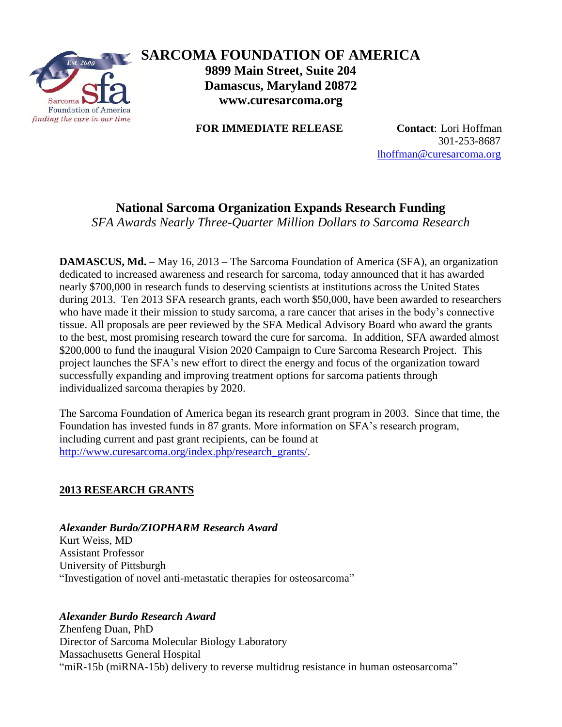

# **SARCOMA FOUNDATION OF AMERICA 9899 Main Street, Suite 204 Damascus, Maryland 20872 www.curesarcoma.org**

**FOR IMMEDIATE RELEASE Contact**: Lori Hoffman

 301-253-8687 [lhoffman@curesarcoma.org](mailto:lhoffman@curesarcoma.org)

# **National Sarcoma Organization Expands Research Funding**

*SFA Awards Nearly Three-Quarter Million Dollars to Sarcoma Research*

**DAMASCUS, Md.** – May 16, 2013 – The Sarcoma Foundation of America (SFA), an organization dedicated to increased awareness and research for sarcoma, today announced that it has awarded nearly \$700,000 in research funds to deserving scientists at institutions across the United States during 2013. Ten 2013 SFA research grants, each worth \$50,000, have been awarded to researchers who have made it their mission to study sarcoma, a rare cancer that arises in the body's connective tissue. All proposals are peer reviewed by the SFA Medical Advisory Board who award the grants to the best, most promising research toward the cure for sarcoma. In addition, SFA awarded almost \$200,000 to fund the inaugural Vision 2020 Campaign to Cure Sarcoma Research Project. This project launches the SFA's new effort to direct the energy and focus of the organization toward successfully expanding and improving treatment options for sarcoma patients through individualized sarcoma therapies by 2020.

The Sarcoma Foundation of America began its research grant program in 2003. Since that time, the Foundation has invested funds in 87 grants. More information on SFA's research program, including current and past grant recipients, can be found at [http://www.curesarcoma.org/index.php/research\\_grants/.](http://www.curesarcoma.org/index.php/research_grants/)

## **2013 RESEARCH GRANTS**

## *Alexander Burdo/ZIOPHARM Research Award*

Kurt Weiss, MD Assistant Professor University of Pittsburgh "Investigation of novel anti-metastatic therapies for osteosarcoma"

## *Alexander Burdo Research Award*

Zhenfeng Duan, PhD Director of Sarcoma Molecular Biology Laboratory Massachusetts General Hospital "miR-15b (miRNA-15b) delivery to reverse multidrug resistance in human osteosarcoma"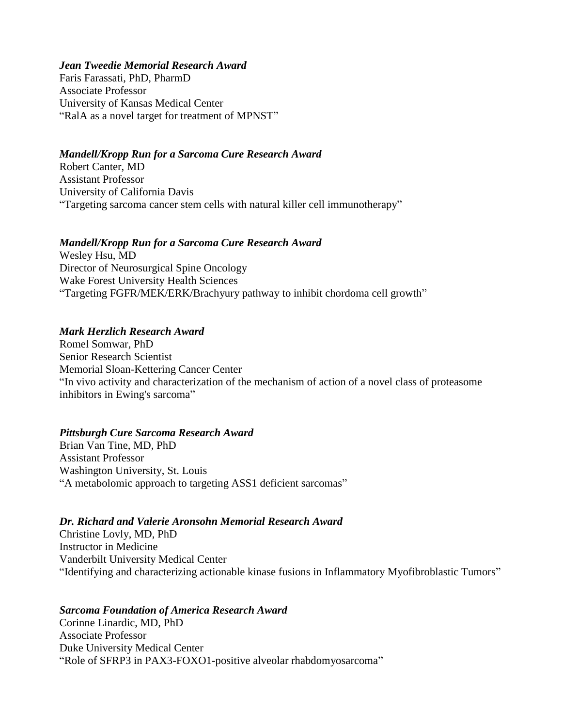#### *Jean Tweedie Memorial Research Award*

Faris Farassati, PhD, PharmD Associate Professor University of Kansas Medical Center "RalA as a novel target for treatment of MPNST"

### *Mandell/Kropp Run for a Sarcoma Cure Research Award*

Robert Canter, MD Assistant Professor University of California Davis "Targeting sarcoma cancer stem cells with natural killer cell immunotherapy"

### *Mandell/Kropp Run for a Sarcoma Cure Research Award*

Wesley Hsu, MD Director of Neurosurgical Spine Oncology Wake Forest University Health Sciences "Targeting FGFR/MEK/ERK/Brachyury pathway to inhibit chordoma cell growth"

### *Mark Herzlich Research Award*

Romel Somwar, PhD Senior Research Scientist Memorial Sloan-Kettering Cancer Center "In vivo activity and characterization of the mechanism of action of a novel class of proteasome inhibitors in Ewing's sarcoma"

### *Pittsburgh Cure Sarcoma Research Award*

Brian Van Tine, MD, PhD Assistant Professor Washington University, St. Louis "A metabolomic approach to targeting ASS1 deficient sarcomas"

### *Dr. Richard and Valerie Aronsohn Memorial Research Award*

Christine Lovly, MD, PhD Instructor in Medicine Vanderbilt University Medical Center "Identifying and characterizing actionable kinase fusions in Inflammatory Myofibroblastic Tumors"

### *Sarcoma Foundation of America Research Award*

Corinne Linardic, MD, PhD Associate Professor Duke University Medical Center "Role of SFRP3 in PAX3-FOXO1-positive alveolar rhabdomyosarcoma"